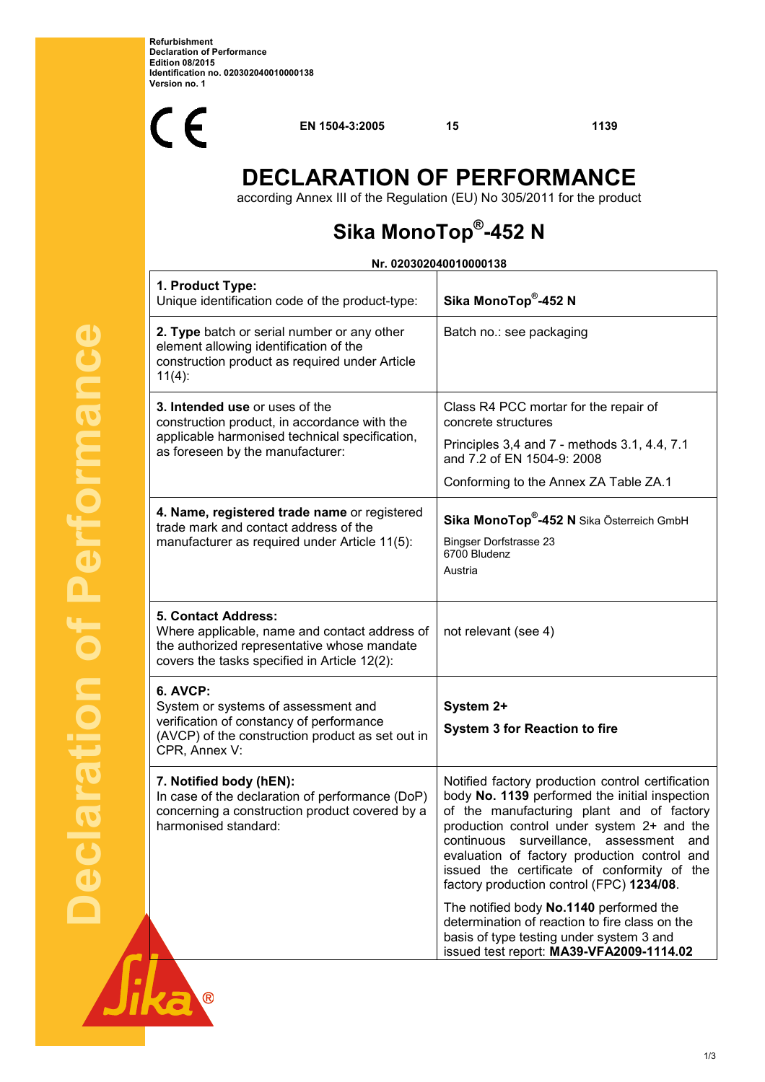**Refurbishment Declaration of Performance Edition 08/2015 Identification no. 020302040010000138 Version no. 1** 



**EN 1504-3:2005 15 1139**

# **DECLARATION OF PERFORMANCE**

according Annex III of the Regulation (EU) No 305/2011 for the product

# **Sika MonoTop® -452 N**

### **Nr. 020302040010000138**

| 1. Product Type:<br>Unique identification code of the product-type:                                                                                                  | Sika MonoTop®-452 N                                                                                                                                                                                                                                                                                                                                                                   |
|----------------------------------------------------------------------------------------------------------------------------------------------------------------------|---------------------------------------------------------------------------------------------------------------------------------------------------------------------------------------------------------------------------------------------------------------------------------------------------------------------------------------------------------------------------------------|
| 2. Type batch or serial number or any other<br>element allowing identification of the<br>construction product as required under Article<br>$11(4)$ :                 | Batch no.: see packaging                                                                                                                                                                                                                                                                                                                                                              |
| 3. Intended use or uses of the<br>construction product, in accordance with the<br>applicable harmonised technical specification,<br>as foreseen by the manufacturer: | Class R4 PCC mortar for the repair of<br>concrete structures<br>Principles 3,4 and 7 - methods 3.1, 4.4, 7.1<br>and 7.2 of EN 1504-9: 2008<br>Conforming to the Annex ZA Table ZA.1                                                                                                                                                                                                   |
| 4. Name, registered trade name or registered<br>trade mark and contact address of the<br>manufacturer as required under Article 11(5):                               | Sika MonoTop <sup>®</sup> -452 N Sika Österreich GmbH<br><b>Bingser Dorfstrasse 23</b><br>6700 Bludenz<br>Austria                                                                                                                                                                                                                                                                     |
| 5. Contact Address:<br>Where applicable, name and contact address of<br>the authorized representative whose mandate<br>covers the tasks specified in Article 12(2):  | not relevant (see 4)                                                                                                                                                                                                                                                                                                                                                                  |
| 6. AVCP:<br>System or systems of assessment and<br>verification of constancy of performance<br>(AVCP) of the construction product as set out in<br>CPR, Annex V:     | System 2+<br><b>System 3 for Reaction to fire</b>                                                                                                                                                                                                                                                                                                                                     |
| 7. Notified body (hEN):<br>In case of the declaration of performance (DoP)<br>concerning a construction product covered by a<br>harmonised standard:                 | Notified factory production control certification<br>body No. 1139 performed the initial inspection<br>of the manufacturing plant and of factory<br>production control under system 2+ and the<br>continuous surveillance, assessment and<br>evaluation of factory production control and<br>issued the certificate of conformity of the<br>factory production control (FPC) 1234/08. |
|                                                                                                                                                                      | The notified body No.1140 performed the<br>determination of reaction to fire class on the<br>basis of type testing under system 3 and<br>issued test report: MA39-VFA2009-1114.02                                                                                                                                                                                                     |

 $\overline{\circ}$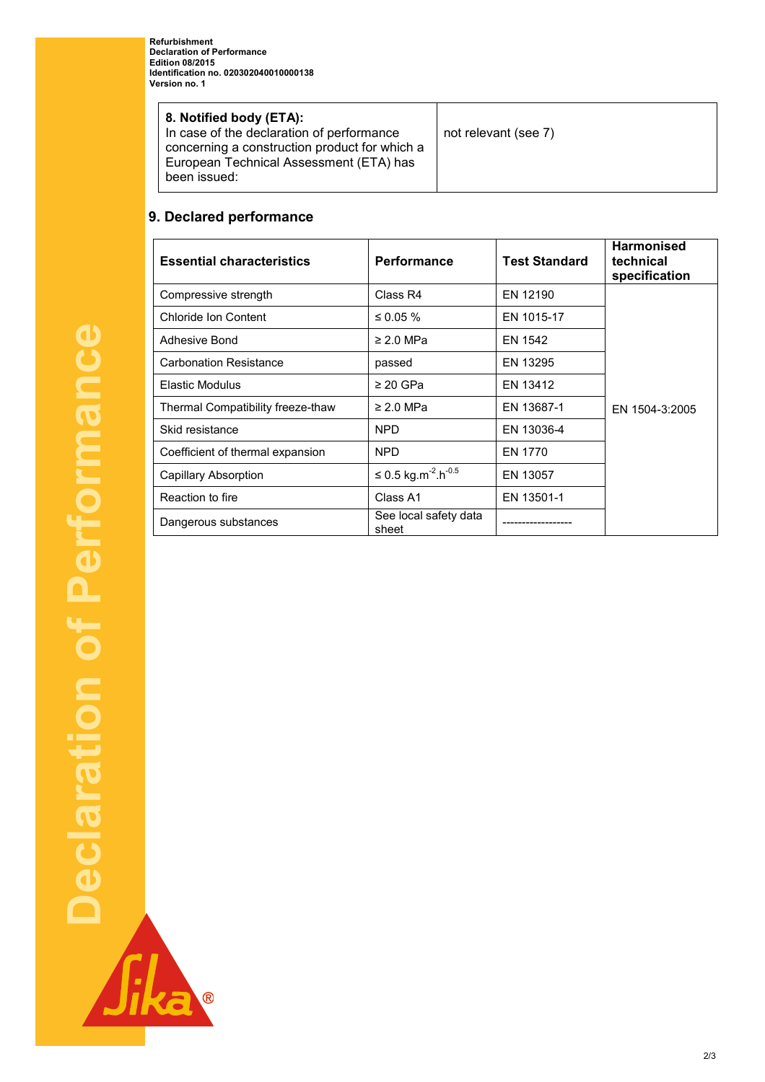**Refurbishment Declaration of Performance Edition 08/2015 Identification no. 020302040010000138 Version no. 1** 

| 8. Notified body (ETA):<br>In case of the declaration of performance<br>concerning a construction product for which a<br>European Technical Assessment (ETA) has<br>been issued: | not relevant (see 7) |
|----------------------------------------------------------------------------------------------------------------------------------------------------------------------------------|----------------------|
|----------------------------------------------------------------------------------------------------------------------------------------------------------------------------------|----------------------|

#### **9. Declared performance**

| <b>Essential characteristics</b>  | <b>Performance</b>                          | <b>Test Standard</b> | <b>Harmonised</b><br>technical<br>specification |
|-----------------------------------|---------------------------------------------|----------------------|-------------------------------------------------|
| Compressive strength              | Class R4                                    | EN 12190             |                                                 |
| Chloride Ion Content              | ≤ 0.05 $%$                                  | EN 1015-17           |                                                 |
| Adhesive Bond                     | $\geq$ 2.0 MPa                              | EN 1542              |                                                 |
| <b>Carbonation Resistance</b>     | passed                                      | EN 13295             |                                                 |
| <b>Elastic Modulus</b>            | $\geq$ 20 GPa                               | EN 13412             |                                                 |
| Thermal Compatibility freeze-thaw | $\geq$ 2.0 MPa                              | EN 13687-1           | EN 1504-3:2005                                  |
| Skid resistance                   | NPD.                                        | EN 13036-4           |                                                 |
| Coefficient of thermal expansion  | <b>NPD</b>                                  | EN 1770              |                                                 |
| Capillary Absorption              | ≤ 0.5 kg.m <sup>-2</sup> .h <sup>-0.5</sup> | EN 13057             |                                                 |
| Reaction to fire                  | Class A1                                    | EN 13501-1           |                                                 |
| Dangerous substances              | See local safety data<br>sheet              |                      |                                                 |